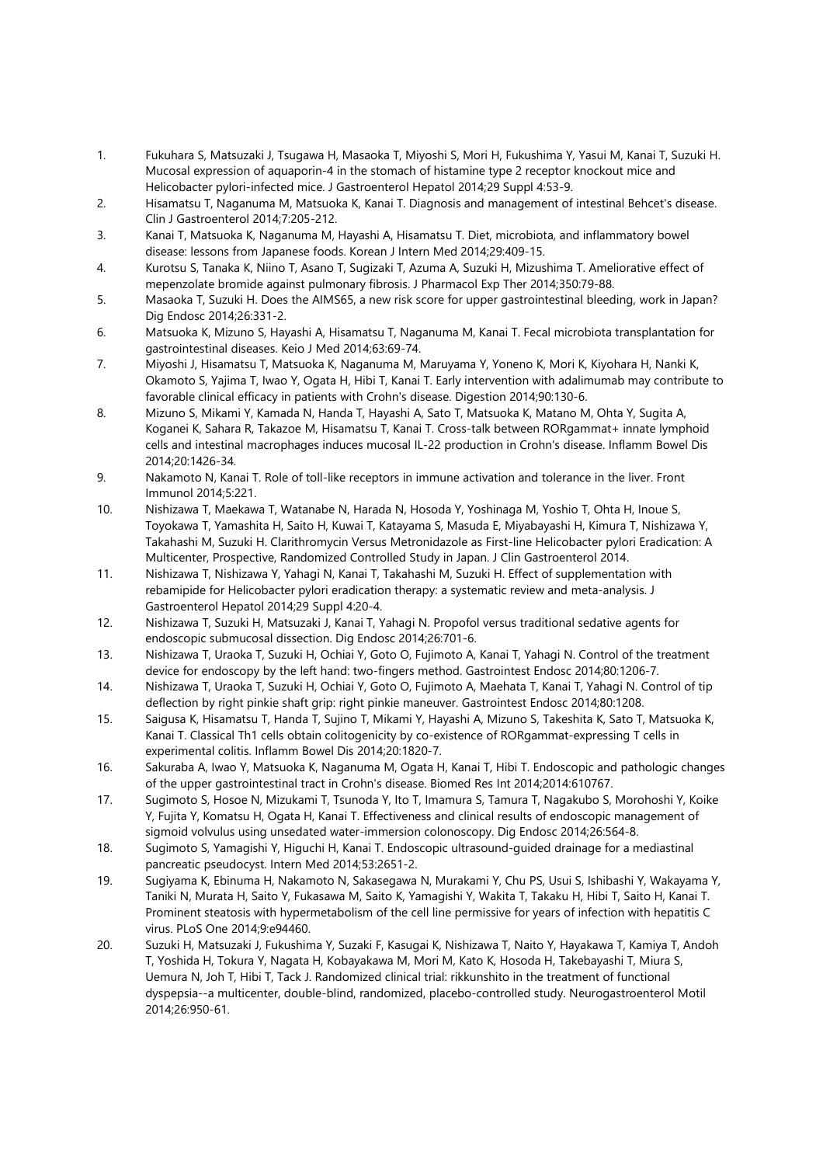- 1. Fukuhara S, Matsuzaki J, Tsugawa H, Masaoka T, Miyoshi S, Mori H, Fukushima Y, Yasui M, Kanai T, Suzuki H. Mucosal expression of aquaporin-4 in the stomach of histamine type 2 receptor knockout mice and Helicobacter pylori-infected mice. J Gastroenterol Hepatol 2014;29 Suppl 4:53-9.
- 2. Hisamatsu T, Naganuma M, Matsuoka K, Kanai T. Diagnosis and management of intestinal Behcet's disease. Clin J Gastroenterol 2014;7:205-212.
- 3. Kanai T, Matsuoka K, Naganuma M, Hayashi A, Hisamatsu T. Diet, microbiota, and inflammatory bowel disease: lessons from Japanese foods. Korean J Intern Med 2014;29:409-15.
- 4. Kurotsu S, Tanaka K, Niino T, Asano T, Sugizaki T, Azuma A, Suzuki H, Mizushima T. Ameliorative effect of mepenzolate bromide against pulmonary fibrosis. J Pharmacol Exp Ther 2014;350:79-88.
- 5. Masaoka T, Suzuki H. Does the AIMS65, a new risk score for upper gastrointestinal bleeding, work in Japan? Dig Endosc 2014;26:331-2.
- 6. Matsuoka K, Mizuno S, Hayashi A, Hisamatsu T, Naganuma M, Kanai T. Fecal microbiota transplantation for gastrointestinal diseases. Keio J Med 2014;63:69-74.
- 7. Miyoshi J, Hisamatsu T, Matsuoka K, Naganuma M, Maruyama Y, Yoneno K, Mori K, Kiyohara H, Nanki K, Okamoto S, Yajima T, Iwao Y, Ogata H, Hibi T, Kanai T. Early intervention with adalimumab may contribute to favorable clinical efficacy in patients with Crohn's disease. Digestion 2014;90:130-6.
- 8. Mizuno S, Mikami Y, Kamada N, Handa T, Hayashi A, Sato T, Matsuoka K, Matano M, Ohta Y, Sugita A, Koganei K, Sahara R, Takazoe M, Hisamatsu T, Kanai T. Cross-talk between RORgammat+ innate lymphoid cells and intestinal macrophages induces mucosal IL-22 production in Crohn's disease. Inflamm Bowel Dis 2014;20:1426-34.
- 9. Nakamoto N, Kanai T. Role of toll-like receptors in immune activation and tolerance in the liver. Front Immunol 2014;5:221.
- 10. Nishizawa T, Maekawa T, Watanabe N, Harada N, Hosoda Y, Yoshinaga M, Yoshio T, Ohta H, Inoue S, Toyokawa T, Yamashita H, Saito H, Kuwai T, Katayama S, Masuda E, Miyabayashi H, Kimura T, Nishizawa Y, Takahashi M, Suzuki H. Clarithromycin Versus Metronidazole as First-line Helicobacter pylori Eradication: A Multicenter, Prospective, Randomized Controlled Study in Japan. J Clin Gastroenterol 2014.
- 11. Nishizawa T, Nishizawa Y, Yahagi N, Kanai T, Takahashi M, Suzuki H. Effect of supplementation with rebamipide for Helicobacter pylori eradication therapy: a systematic review and meta-analysis. J Gastroenterol Hepatol 2014;29 Suppl 4:20-4.
- 12. Nishizawa T, Suzuki H, Matsuzaki J, Kanai T, Yahagi N. Propofol versus traditional sedative agents for endoscopic submucosal dissection. Dig Endosc 2014;26:701-6.
- 13. Nishizawa T, Uraoka T, Suzuki H, Ochiai Y, Goto O, Fujimoto A, Kanai T, Yahagi N. Control of the treatment device for endoscopy by the left hand: two-fingers method. Gastrointest Endosc 2014;80:1206-7.
- 14. Nishizawa T, Uraoka T, Suzuki H, Ochiai Y, Goto O, Fujimoto A, Maehata T, Kanai T, Yahagi N. Control of tip deflection by right pinkie shaft grip: right pinkie maneuver. Gastrointest Endosc 2014;80:1208.
- 15. Saigusa K, Hisamatsu T, Handa T, Sujino T, Mikami Y, Hayashi A, Mizuno S, Takeshita K, Sato T, Matsuoka K, Kanai T. Classical Th1 cells obtain colitogenicity by co-existence of RORgammat-expressing T cells in experimental colitis. Inflamm Bowel Dis 2014;20:1820-7.
- 16. Sakuraba A, Iwao Y, Matsuoka K, Naganuma M, Ogata H, Kanai T, Hibi T. Endoscopic and pathologic changes of the upper gastrointestinal tract in Crohn's disease. Biomed Res Int 2014;2014:610767.
- 17. Sugimoto S, Hosoe N, Mizukami T, Tsunoda Y, Ito T, Imamura S, Tamura T, Nagakubo S, Morohoshi Y, Koike Y, Fujita Y, Komatsu H, Ogata H, Kanai T. Effectiveness and clinical results of endoscopic management of sigmoid volvulus using unsedated water-immersion colonoscopy. Dig Endosc 2014;26:564-8.
- 18. Sugimoto S, Yamagishi Y, Higuchi H, Kanai T. Endoscopic ultrasound-guided drainage for a mediastinal pancreatic pseudocyst. Intern Med 2014;53:2651-2.
- 19. Sugiyama K, Ebinuma H, Nakamoto N, Sakasegawa N, Murakami Y, Chu PS, Usui S, Ishibashi Y, Wakayama Y, Taniki N, Murata H, Saito Y, Fukasawa M, Saito K, Yamagishi Y, Wakita T, Takaku H, Hibi T, Saito H, Kanai T. Prominent steatosis with hypermetabolism of the cell line permissive for years of infection with hepatitis C virus. PLoS One 2014;9:e94460.
- 20. Suzuki H, Matsuzaki J, Fukushima Y, Suzaki F, Kasugai K, Nishizawa T, Naito Y, Hayakawa T, Kamiya T, Andoh T, Yoshida H, Tokura Y, Nagata H, Kobayakawa M, Mori M, Kato K, Hosoda H, Takebayashi T, Miura S, Uemura N, Joh T, Hibi T, Tack J. Randomized clinical trial: rikkunshito in the treatment of functional dyspepsia--a multicenter, double-blind, randomized, placebo-controlled study. Neurogastroenterol Motil 2014;26:950-61.